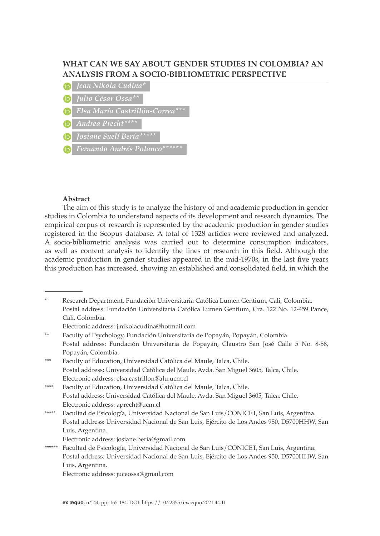# **WHAT CAN WE SAY ABOUT GENDER STUDIES IN COLOMBIA? AN ANALYSIS FROM A SOCIO-BIBLIOMETRIC PERSPECTIVE**

- (in)
- *Julio César Ossa\*\**
- 
- *Andrea Precht\*\*\*\**
- *Josiane Suelí Bería\*\*\*\*\**
- 

#### **Abstract**

The aim of this study is to analyze the history of and academic production in gender studies in Colombia to understand aspects of its development and research dynamics. The empirical corpus of research is represented by the academic production in gender studies registered in the Scopus database. A total of 1328 articles were reviewed and analyzed. A socio-bibliometric analysis was carried out to determine consumption indicators, as well as content analysis to identify the lines of research in this field. Although the academic production in gender studies appeared in the mid-1970s, in the last five years this production has increased, showing an established and consolidated field, in which the

\* Research Department, Fundación Universitaria Católica Lumen Gentium, Cali, Colombia. Postal address: Fundación Universitaria Católica Lumen Gentium, Cra. 122 No. 12-459 Pance, Cali, Colombia.

- Electronic address: j.nikolacudina@hotmail.com
- \*\* Faculty of Psychology, Fundación Universitaria de Popayán, Popayán, Colombia. Postal address: Fundación Universitaria de Popayán, Claustro San José Calle 5 No. 8-58, Popayán, Colombia.
- \*\*\* Faculty of Education, Universidad Católica del Maule, Talca, Chile. Postal address: Universidad Católica del Maule, Avda. San Miguel 3605, Talca, Chile. Electronic address: elsa.castrillon@alu.ucm.cl
- \*\*\*\* Faculty of Education, Universidad Católica del Maule, Talca, Chile. Postal address: Universidad Católica del Maule, Avda. San Miguel 3605, Talca, Chile. Electronic address: aprecht@ucm.cl
- \*\*\*\*\* Facultad de Psicología, Universidad Nacional de San Luis/CONICET, San Luis, Argentina. Postal address: Universidad Nacional de San Luis, Ejército de Los Andes 950, D5700HHW, San Luis, Argentina.
	- Electronic address: josiane.beria@gmail.com
- \*\*\*\*\*\* Facultad de Psicología, Universidad Nacional de San Luis/CONICET, San Luis, Argentina. Postal address: Universidad Nacional de San Luis, Ejército de Los Andes 950, D5700HHW, San Luis, Argentina.

Electronic address: juceossa@gmail.com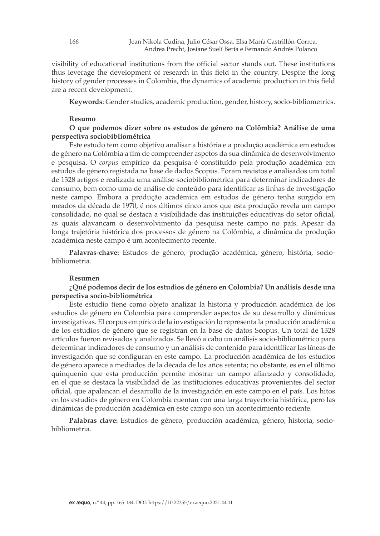visibility of educational institutions from the official sector stands out. These institutions thus leverage the development of research in this field in the country. Despite the long history of gender processes in Colombia, the dynamics of academic production in this field are a recent development.

**Keywords**: Gender studies, academic production, gender, history, socio-bibliometrics.

#### **Resumo**

## **O que podemos dizer sobre os estudos de género na Colômbia? Análise de uma perspectiva sociobibliométrica**

Este estudo tem como objetivo analisar a história e a produção académica em estudos de género na Colômbia a fim de compreender aspetos da sua dinâmica de desenvolvimento e pesquisa. O *corpus* empírico da pesquisa é constituído pela produção académica em estudos de género registada na base de dados Scopus. Foram revistos e analisados um total de 1328 artigos e realizada uma análise sociobibliometrica para determinar indicadores de consumo, bem como uma de análise de conteúdo para identificar as linhas de investigação neste campo. Embora a produção académica em estudos de género tenha surgido em meados da década de 1970, é nos últimos cinco anos que esta produção revela um campo consolidado, no qual se destaca a visibilidade das instituições educativas do setor oficial, as quais alavancam o desenvolvimento da pesquisa neste campo no país. Apesar da longa trajetória histórica dos processos de género na Colômbia, a dinâmica da produção académica neste campo é um acontecimento recente.

**Palavras-chave:** Estudos de género, produção académica, género, história, sociobibliometria.

### **Resumen**

## **¿Qué podemos decir de los estudios de género en Colombia? Un análisis desde una perspectiva socio-bibliométrica**

Este estudio tiene como objeto analizar la historia y producción académica de los estudios de género en Colombia para comprender aspectos de su desarrollo y dinámicas investigativas. El corpus empírico de la investigación lo representa la producción académica de los estudios de género que se registran en la base de datos Scopus. Un total de 1328 artículos fueron revisados y analizados. Se llevó a cabo un análisis socio-bibliométrico para determinar indicadores de consumo y un análisis de contenido para identíficar las líneas de investigación que se configuran en este campo. La producción académica de los estudios de género aparece a mediados de la década de los años setenta; no obstante, es en el último quinquenio que esta producción permite mostrar un campo afianzado y consolidado, en el que se destaca la visibilidad de las instituciones educativas provenientes del sector oficial, que apalancan el desarrollo de la investigación en este campo en el país. Los hitos en los estudios de género en Colombia cuentan con una larga trayectoria histórica, pero las dinámicas de producción académica en este campo son un acontecimiento reciente.

**Palabras clave:** Estudios de género, producción académica, género, historia, sociobibliometria.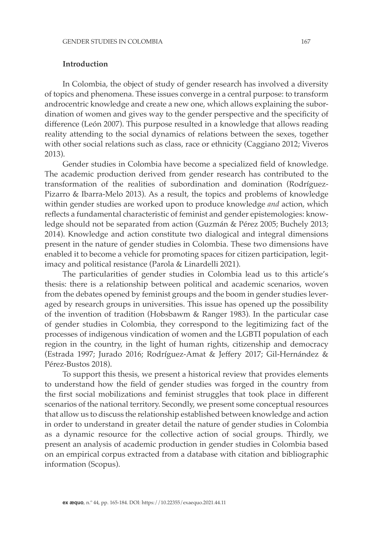## **Introduction**

In Colombia, the object of study of gender research has involved a diversity of topics and phenomena. These issues converge in a central purpose: to transform androcentric knowledge and create a new one, which allows explaining the subordination of women and gives way to the gender perspective and the specificity of difference (León 2007). This purpose resulted in a knowledge that allows reading reality attending to the social dynamics of relations between the sexes, together with other social relations such as class, race or ethnicity (Caggiano 2012; Viveros 2013).

Gender studies in Colombia have become a specialized field of knowledge. The academic production derived from gender research has contributed to the transformation of the realities of subordination and domination (Rodríguez-Pizarro & Ibarra-Melo 2013). As a result, the topics and problems of knowledge within gender studies are worked upon to produce knowledge *and* action, which reflects a fundamental characteristic of feminist and gender epistemologies: knowledge should not be separated from action (Guzmán & Pérez 2005; Buchely 2013; 2014). Knowledge and action constitute two dialogical and integral dimensions present in the nature of gender studies in Colombia. These two dimensions have enabled it to become a vehicle for promoting spaces for citizen participation, legitimacy and political resistance (Parola & Linardelli 2021).

The particularities of gender studies in Colombia lead us to this article's thesis: there is a relationship between political and academic scenarios, woven from the debates opened by feminist groups and the boom in gender studies leveraged by research groups in universities. This issue has opened up the possibility of the invention of tradition (Hobsbawm & Ranger 1983). In the particular case of gender studies in Colombia, they correspond to the legitimizing fact of the processes of indigenous vindication of women and the LGBTI population of each region in the country, in the light of human rights, citizenship and democracy (Estrada 1997; Jurado 2016; Rodríguez-Amat & Jeffery 2017; Gil-Hernández & Pérez-Bustos 2018).

To support this thesis, we present a historical review that provides elements to understand how the field of gender studies was forged in the country from the first social mobilizations and feminist struggles that took place in different scenarios of the national territory. Secondly, we present some conceptual resources that allow us to discuss the relationship established between knowledge and action in order to understand in greater detail the nature of gender studies in Colombia as a dynamic resource for the collective action of social groups. Thirdly, we present an analysis of academic production in gender studies in Colombia based on an empirical corpus extracted from a database with citation and bibliographic information (Scopus).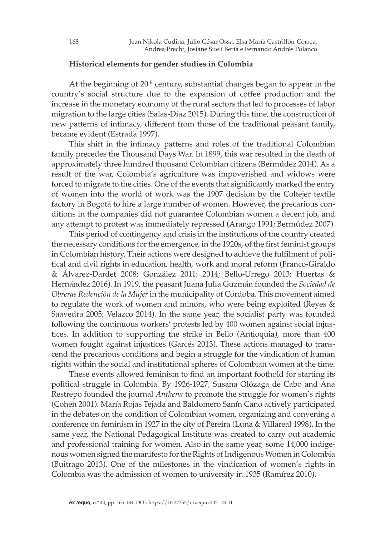# **Historical elements for gender studies in Colombia**

At the beginning of  $20<sup>th</sup>$  century, substantial changes began to appear in the country's social structure due to the expansion of coffee production and the increase in the monetary economy of the rural sectors that led to processes of labor migration to the large cities (Salas-Díaz 2015). During this time, the construction of new patterns of intimacy, different from those of the traditional peasant family, became evident (Estrada 1997).

This shift in the intimacy patterns and roles of the traditional Colombian family precedes the Thousand Days War. In 1899, this war resulted in the death of approximately three hundred thousand Colombian citizens (Bermúdez 2014). As a result of the war, Colombia's agriculture was impoverished and widows were forced to migrate to the cities. One of the events that significantly marked the entry of women into the world of work was the 1907 decision by the Coltejer textile factory in Bogotá to hire a large number of women. However, the precarious conditions in the companies did not guarantee Colombian women a decent job, and any attempt to protest was immediately repressed (Arango 1991; Bermúdez 2007).

This period of contingency and crisis in the institutions of the country created the necessary conditions for the emergence, in the 1920s, of the first feminist groups in Colombian history. Their actions were designed to achieve the fulfilment of political and civil rights in education, health, work and moral reform (Franco-Giraldo & Álvarez-Dardet 2008; González 2011; 2014; Bello-Urrego 2013; Huertas & Hernández 2016). In 1919, the peasant Juana Julia Guzmán founded the *Sociedad de Obreras Redención de la Mujer* in the municipality of Córdoba. This movement aimed to regulate the work of women and minors, who were being exploited (Reyes & Saavedra 2005; Velazco 2014). In the same year, the socialist party was founded following the continuous workers' protests led by 400 women against social injustices. In addition to supporting the strike in Bello (Antioquia), more than 400 women fought against injustices (Garcés 2013). These actions managed to transcend the precarious conditions and begin a struggle for the vindication of human rights within the social and institutional spheres of Colombian women at the time.

These events allowed feminism to find an important foothold for starting its political struggle in Colombia. By 1926-1927, Susana Olózaga de Cabo and Ana Restrepo founded the journal *Anthena* to promote the struggle for women's rights (Cohen 2001). María Rojas Tejada and Baldomero Sanín Cano actively participated in the debates on the condition of Colombian women, organizing and convening a conference on feminism in 1927 in the city of Pereira (Luna & Villareal 1998). In the same year, the National Pedagogical Institute was created to carry out academic and professional training for women. Also in the same year, some 14,000 indigenous women signed the manifesto for the Rights of Indigenous Women in Colombia (Buitrago 2013). One of the milestones in the vindication of women's rights in Colombia was the admission of women to university in 1935 (Ramírez 2010).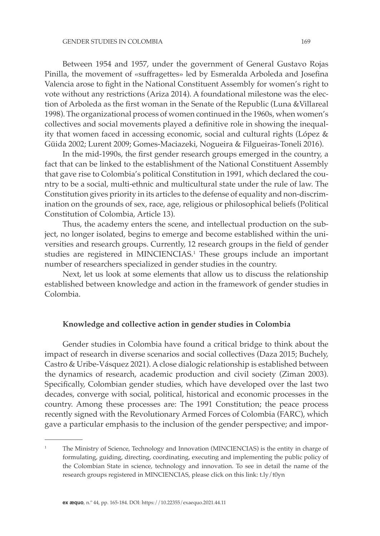Between 1954 and 1957, under the government of General Gustavo Rojas Pinilla, the movement of «suffragettes» led by Esmeralda Arboleda and Josefina Valencia arose to fight in the National Constituent Assembly for women's right to vote without any restrictions (Ariza 2014). A foundational milestone was the election of Arboleda as the first woman in the Senate of the Republic (Luna &Villareal 1998). The organizational process of women continued in the 1960s, when women's collectives and social movements played a definitive role in showing the inequality that women faced in accessing economic, social and cultural rights (López & Güida 2002; Lurent 2009; Gomes-Maciazeki, Nogueira & Filgueiras-Toneli 2016).

In the mid-1990s, the first gender research groups emerged in the country, a fact that can be linked to the establishment of the National Constituent Assembly that gave rise to Colombia's political Constitution in 1991, which declared the country to be a social, multi-ethnic and multicultural state under the rule of law. The Constitution gives priority in its articles to the defense of equality and non-discrimination on the grounds of sex, race, age, religious or philosophical beliefs (Political Constitution of Colombia, Article 13).

Thus, the academy enters the scene, and intellectual production on the subject, no longer isolated, begins to emerge and become established within the universities and research groups. Currently, 12 research groups in the field of gender studies are registered in MINCIENCIAS.1 These groups include an important number of researchers specialized in gender studies in the country.

Next, let us look at some elements that allow us to discuss the relationship established between knowledge and action in the framework of gender studies in Colombia.

## **Knowledge and collective action in gender studies in Colombia**

Gender studies in Colombia have found a critical bridge to think about the impact of research in diverse scenarios and social collectives (Daza 2015; Buchely, Castro & Uribe-Vásquez 2021). A close dialogic relationship is established between the dynamics of research, academic production and civil society (Ziman 2003). Specifically, Colombian gender studies, which have developed over the last two decades, converge with social, political, historical and economic processes in the country. Among these processes are: The 1991 Constitution; the peace process recently signed with the Revolutionary Armed Forces of Colombia (FARC), which gave a particular emphasis to the inclusion of the gender perspective; and impor-

<sup>1</sup> The Ministry of Science, Technology and Innovation (MINCIENCIAS) is the entity in charge of formulating, guiding, directing, coordinating, executing and implementing the public policy of the Colombian State in science, technology and innovation. To see in detail the name of the research groups registered in MINCIENCIAS, please click on this link: t.ly/t0yn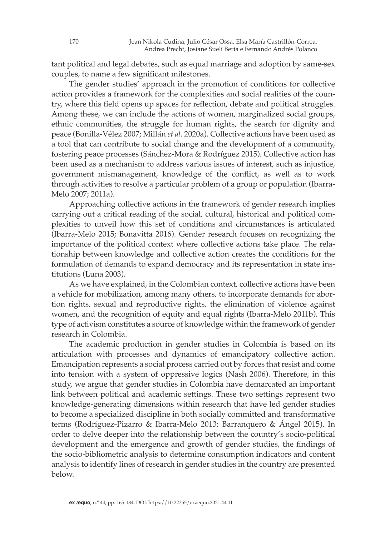tant political and legal debates, such as equal marriage and adoption by same-sex couples, to name a few significant milestones.

The gender studies' approach in the promotion of conditions for collective action provides a framework for the complexities and social realities of the country, where this field opens up spaces for reflection, debate and political struggles. Among these, we can include the actions of women, marginalized social groups, ethnic communities, the struggle for human rights, the search for dignity and peace (Bonilla-Vélez 2007; Millán *et al*. 2020a). Collective actions have been used as a tool that can contribute to social change and the development of a community, fostering peace processes (Sánchez-Mora & Rodríguez 2015). Collective action has been used as a mechanism to address various issues of interest, such as injustice, government mismanagement, knowledge of the conflict, as well as to work through activities to resolve a particular problem of a group or population (Ibarra-Melo 2007; 2011a).

Approaching collective actions in the framework of gender research implies carrying out a critical reading of the social, cultural, historical and political complexities to unveil how this set of conditions and circumstances is articulated (Ibarra-Melo 2015; Bonavitta 2016). Gender research focuses on recognizing the importance of the political context where collective actions take place. The relationship between knowledge and collective action creates the conditions for the formulation of demands to expand democracy and its representation in state institutions (Luna 2003).

As we have explained, in the Colombian context, collective actions have been a vehicle for mobilization, among many others, to incorporate demands for abortion rights, sexual and reproductive rights, the elimination of violence against women, and the recognition of equity and equal rights (Ibarra-Melo 2011b). This type of activism constitutes a source of knowledge within the framework of gender research in Colombia.

The academic production in gender studies in Colombia is based on its articulation with processes and dynamics of emancipatory collective action. Emancipation represents a social process carried out by forces that resist and come into tension with a system of oppressive logics (Nash 2006). Therefore, in this study, we argue that gender studies in Colombia have demarcated an important link between political and academic settings. These two settings represent two knowledge-generating dimensions within research that have led gender studies to become a specialized discipline in both socially committed and transformative terms (Rodríguez-Pizarro & Ibarra-Melo 2013; Barranquero & Ángel 2015). In order to delve deeper into the relationship between the country's socio-political development and the emergence and growth of gender studies, the findings of the socio-bibliometric analysis to determine consumption indicators and content analysis to identify lines of research in gender studies in the country are presented below.

170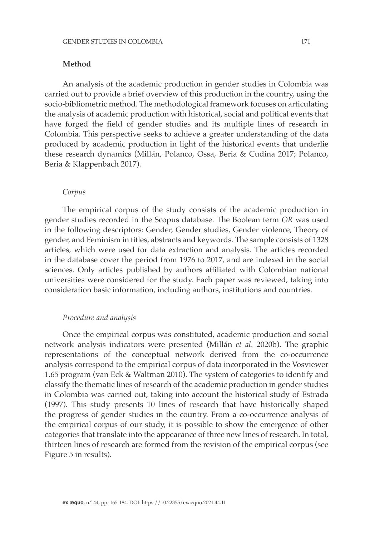## **Method**

An analysis of the academic production in gender studies in Colombia was carried out to provide a brief overview of this production in the country, using the socio-bibliometric method. The methodological framework focuses on articulating the analysis of academic production with historical, social and political events that have forged the field of gender studies and its multiple lines of research in Colombia. This perspective seeks to achieve a greater understanding of the data produced by academic production in light of the historical events that underlie these research dynamics (Millán, Polanco, Ossa, Beria & Cudina 2017; Polanco, Beria & Klappenbach 2017).

### *Corpus*

The empirical corpus of the study consists of the academic production in gender studies recorded in the Scopus database. The Boolean term *OR* was used in the following descriptors: Gender, Gender studies, Gender violence, Theory of gender, and Feminism in titles, abstracts and keywords. The sample consists of 1328 articles, which were used for data extraction and analysis. The articles recorded in the database cover the period from 1976 to 2017, and are indexed in the social sciences. Only articles published by authors affiliated with Colombian national universities were considered for the study. Each paper was reviewed, taking into consideration basic information, including authors, institutions and countries.

#### *Procedure and analysis*

Once the empirical corpus was constituted, academic production and social network analysis indicators were presented (Millán *et al*. 2020b). The graphic representations of the conceptual network derived from the co-occurrence analysis correspond to the empirical corpus of data incorporated in the Vosviewer 1.65 program (van Eck & Waltman 2010). The system of categories to identify and classify the thematic lines of research of the academic production in gender studies in Colombia was carried out, taking into account the historical study of Estrada (1997). This study presents 10 lines of research that have historically shaped the progress of gender studies in the country. From a co-occurrence analysis of the empirical corpus of our study, it is possible to show the emergence of other categories that translate into the appearance of three new lines of research. In total, thirteen lines of research are formed from the revision of the empirical corpus (see Figure 5 in results).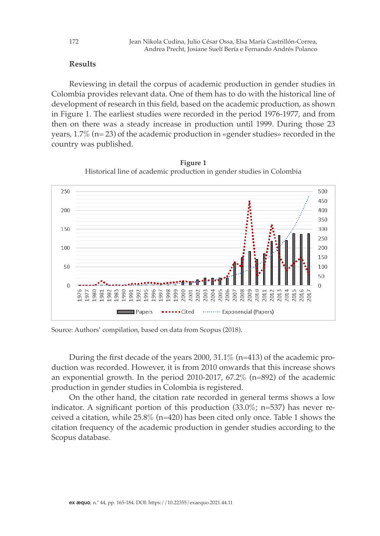# **Results**

Reviewing in detail the corpus of academic production in gender studies in Colombia provides relevant data. One of them has to do with the historical line of development of research in this field, based on the academic production, as shown in Figure 1. The earliest studies were recorded in the period 1976-1977, and from then on there was a steady increase in production until 1999. During those 23 years,  $1.7\%$  (n= 23) of the academic production in «gender studies» recorded in the country was published.



**Figure 1** Historical line of academic production in gender studies in Colombia **Figure 1 Historical line of academic production in gender studies in Colombia**

Source: Authors' compilation, based on data from Scopus (2018).

During the first decade of the years 2000, 31.1% (n=413) of the academic production was recorded. However, it is from 2010 onwards that this increase shows an exponential growth. In the period 2010-2017, 67.2% (n=892) of the academic production in gender studies in Colombia is registered.

On the other hand, the citation rate recorded in general terms shows a low indicator. A significant portion of this production (33.0%; n=537) has never received a citation, while 25.8% (n=420) has been cited only once. Table 1 shows the citation frequency of the academic production in gender studies according to the Scopus database.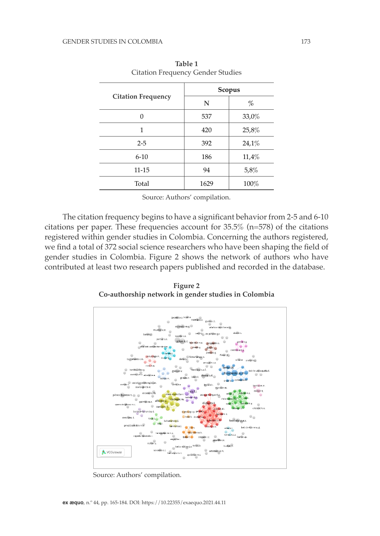| <b>Citation Frequency</b> | Scopus |       |  |
|---------------------------|--------|-------|--|
|                           | N      | %     |  |
| $\Omega$                  | 537    | 33,0% |  |
| 1                         | 420    | 25,8% |  |
| $2 - 5$                   | 392    | 24,1% |  |
| $6 - 10$                  | 186    | 11,4% |  |
| $11 - 15$                 | 94     | 5,8%  |  |
| Total                     | 1629   | 100%  |  |

**Table 1** Citation Frequency Gender Studies

Source: Authors' compilation.

The citation frequency begins to have a significant behavior from 2-5 and 6-10 citations per paper. These frequencies account for  $35.5\%$  (n=578) of the citations registered within gender studies in Colombia. Concerning the authors registered, we find a total of 372 social science researchers who have been shaping the field of gender studies in Colombia. Figure 2 shows the network of authors who have contributed at least two research papers published and recorded in the database.

**Figure 2 Figure 2 Co-authorship network in gender studies in Colombia Co-authorship network in gender studies in Colombia**



Source: Authors' compilation.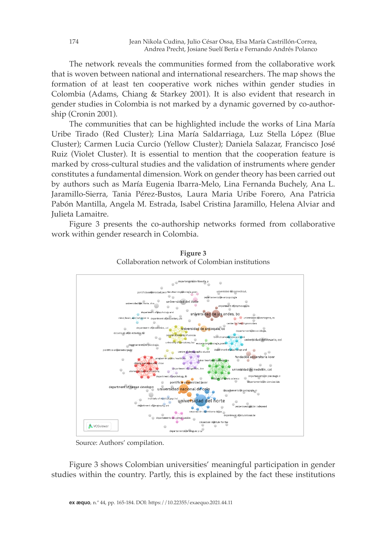The network reveals the communities formed from the collaborative work that is woven between national and international researchers. The map shows the formation of at least ten cooperative work niches within gender studies in Colombia (Adams, Chiang & Starkey 2001). It is also evident that research in gender studies in Colombia is not marked by a dynamic governed by co-authorship (Cronin 2001).

The communities that can be highlighted include the works of Lina María Uribe Tirado (Red Cluster); Lina María Saldarriaga, Luz Stella López (Blue Cluster); Carmen Lucia Curcio (Yellow Cluster); Daniela Salazar, Francisco José Ruiz (Violet Cluster). It is essential to mention that the cooperation feature is marked by cross-cultural studies and the validation of instruments where gender constitutes a fundamental dimension. Work on gender theory has been carried out by authors such as María Eugenia Ibarra-Melo, Lina Fernanda Buchely, Ana L. Jaramillo-Sierra, Tania Pérez-Bustos, Laura Maria Uribe Forero, Ana Patricia Pabón Mantilla, Angela M. Estrada, Isabel Cristina Jaramillo, Helena Alviar and Julieta Lamaitre.

Figure 3 presents the co-authorship networks formed from collaborative work within gender research in Colombia.



**Figure** 3 Collaboration network of Colombian institutions **Company 3** 

Source: Authors' compilation.

Source: Authors' compilation. **Figure 3** Figure 3 shows Colombian universities' meaningful participation in gender **Collaboration network of Colombian institutions** studies within the country. Partly, this is explained by the fact these institutions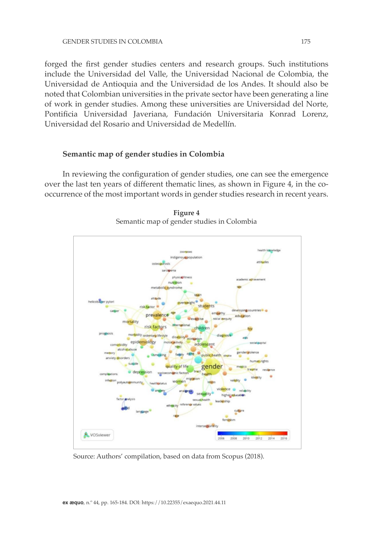forged the first gender studies centers and research groups. Such institutions include the Universidad del Valle, the Universidad Nacional de Colombia, the Universidad de Antioquia and the Universidad de los Andes. It should also be noted that Colombian universities in the private sector have been generating a line of work in gender studies. Among these universities are Universidad del Norte, Pontificia Universidad Javeriana, Fundación Universitaria Konrad Lorenz, Universidad del Rosario and Universidad de Medellín.

## **Semantic map of gender studies in Colombia**

In reviewing the configuration of gender studies, one can see the emergence over the last ten years of different thematic lines, as shown in Figure 4, in the cooccurrence of the most important words in gender studies research in recent years.



**Figure 4** Semantic map of gender studies in Colombia

Source: Authors' compilation, based on data from Scopus (2018).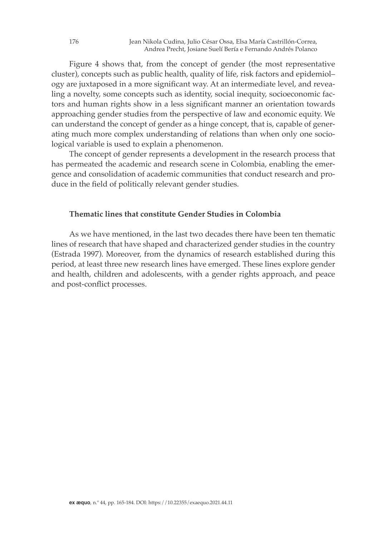Figure 4 shows that, from the concept of gender (the most representative cluster), concepts such as public health, quality of life, risk factors and epidemiol– ogy are juxtaposed in a more significant way. At an intermediate level, and revealing a novelty, some concepts such as identity, social inequity, socioeconomic factors and human rights show in a less significant manner an orientation towards approaching gender studies from the perspective of law and economic equity. We can understand the concept of gender as a hinge concept, that is, capable of generating much more complex understanding of relations than when only one sociological variable is used to explain a phenomenon.

The concept of gender represents a development in the research process that has permeated the academic and research scene in Colombia, enabling the emergence and consolidation of academic communities that conduct research and produce in the field of politically relevant gender studies.

# **Thematic lines that constitute Gender Studies in Colombia**

As we have mentioned, in the last two decades there have been ten thematic lines of research that have shaped and characterized gender studies in the country (Estrada 1997). Moreover, from the dynamics of research established during this period, at least three new research lines have emerged. These lines explore gender and health, children and adolescents, with a gender rights approach, and peace and post-conflict processes.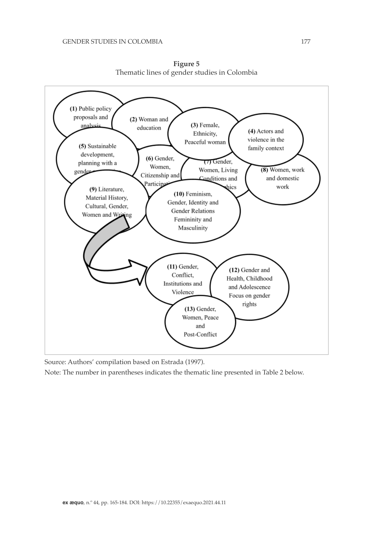

**Figure 5** Thematic lines of gender studies in Colombia

Source: Authors' compilation based on Estrada (1997).

Source: Authors' compilation based on Estrada (1997). Note: The number in parentheses indicates the thematic line presented in Table 2 below. Note: The number in parentheses indicates the thematic line presented in Table 2 below.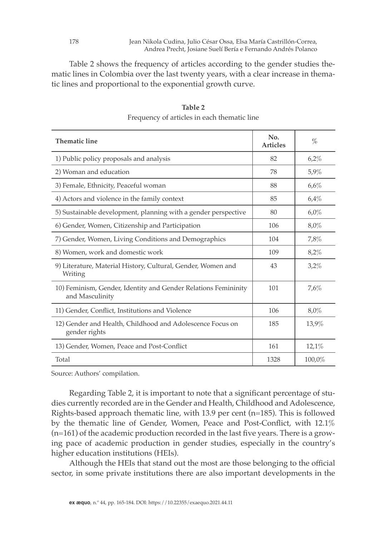Jean Nikola Cudina, Julio César Ossa, Elsa María Castrillón-Correa, Andrea Precht, Josiane Suelí Bería e Fernando Andrés Polanco

Table 2 shows the frequency of articles according to the gender studies thematic lines in Colombia over the last twenty years, with a clear increase in thematic lines and proportional to the exponential growth curve.

| <b>Thematic line</b>                                                              | No.<br><b>Articles</b> | $\%$      |
|-----------------------------------------------------------------------------------|------------------------|-----------|
| 1) Public policy proposals and analysis                                           | 82                     | 6,2%      |
| 2) Woman and education                                                            | 78                     | 5,9%      |
| 3) Female, Ethnicity, Peaceful woman                                              | 88                     | 6,6%      |
| 4) Actors and violence in the family context                                      | 85                     | 6.4%      |
| 5) Sustainable development, planning with a gender perspective                    | 80                     | 6.0%      |
| 6) Gender, Women, Citizenship and Participation                                   | 106                    | 8,0%      |
| 7) Gender, Women, Living Conditions and Demographics                              | 104                    | 7,8%      |
| 8) Women, work and domestic work                                                  | 109                    | 8,2%      |
| 9) Literature, Material History, Cultural, Gender, Women and<br>Writing           | 43                     | 3,2%      |
| 10) Feminism, Gender, Identity and Gender Relations Femininity<br>and Masculinity | 101                    | 7,6%      |
| 11) Gender, Conflict, Institutions and Violence                                   | 106                    | 8,0%      |
| 12) Gender and Health, Childhood and Adolescence Focus on<br>gender rights        | 185                    | 13,9%     |
| 13) Gender, Women, Peace and Post-Conflict                                        | 161                    | 12,1%     |
| Total                                                                             | 1328                   | $100,0\%$ |

**Table 2** Frequency of articles in each thematic line

Source: Authors' compilation.

Regarding Table 2, it is important to note that a significant percentage of studies currently recorded are in the Gender and Health, Childhood and Adolescence, Rights-based approach thematic line, with 13.9 per cent (n=185). This is followed by the thematic line of Gender, Women, Peace and Post-Conflict, with 12.1% (n=161) of the academic production recorded in the last five years. There is a growing pace of academic production in gender studies, especially in the country's higher education institutions (HEIs).

Although the HEIs that stand out the most are those belonging to the official sector, in some private institutions there are also important developments in the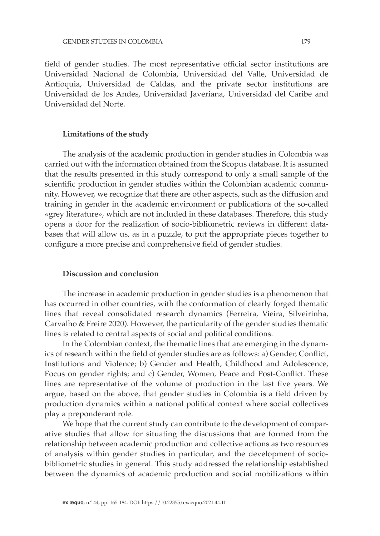field of gender studies. The most representative official sector institutions are Universidad Nacional de Colombia, Universidad del Valle, Universidad de Antioquia, Universidad de Caldas, and the private sector institutions are Universidad de los Andes, Universidad Javeriana, Universidad del Caribe and Universidad del Norte.

#### **Limitations of the study**

The analysis of the academic production in gender studies in Colombia was carried out with the information obtained from the Scopus database. It is assumed that the results presented in this study correspond to only a small sample of the scientific production in gender studies within the Colombian academic community. However, we recognize that there are other aspects, such as the diffusion and training in gender in the academic environment or publications of the so-called «grey literature», which are not included in these databases. Therefore, this study opens a door for the realization of socio-bibliometric reviews in different databases that will allow us, as in a puzzle, to put the appropriate pieces together to configure a more precise and comprehensive field of gender studies.

# **Discussion and conclusion**

The increase in academic production in gender studies is a phenomenon that has occurred in other countries, with the conformation of clearly forged thematic lines that reveal consolidated research dynamics (Ferreira, Vieira, Silveirinha, Carvalho & Freire 2020). However, the particularity of the gender studies thematic lines is related to central aspects of social and political conditions.

In the Colombian context, the thematic lines that are emerging in the dynamics of research within the field of gender studies are as follows: a) Gender, Conflict, Institutions and Violence; b) Gender and Health, Childhood and Adolescence, Focus on gender rights; and c) Gender, Women, Peace and Post-Conflict. These lines are representative of the volume of production in the last five years. We argue, based on the above, that gender studies in Colombia is a field driven by production dynamics within a national political context where social collectives play a preponderant role.

We hope that the current study can contribute to the development of comparative studies that allow for situating the discussions that are formed from the relationship between academic production and collective actions as two resources of analysis within gender studies in particular, and the development of sociobibliometric studies in general. This study addressed the relationship established between the dynamics of academic production and social mobilizations within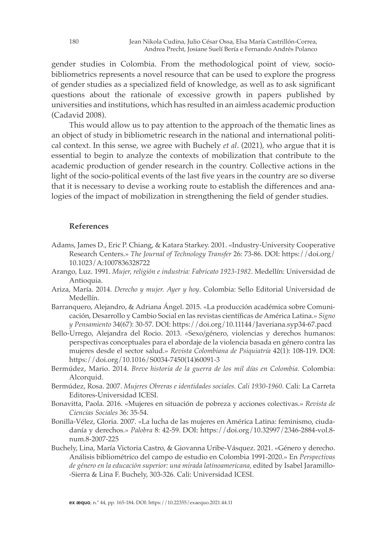gender studies in Colombia. From the methodological point of view, sociobibliometrics represents a novel resource that can be used to explore the progress of gender studies as a specialized field of knowledge, as well as to ask significant questions about the rationale of excessive growth in papers published by universities and institutions, which has resulted in an aimless academic production (Cadavid 2008).

This would allow us to pay attention to the approach of the thematic lines as an object of study in bibliometric research in the national and international political context. In this sense, we agree with Buchely *et al*. (2021), who argue that it is essential to begin to analyze the contexts of mobilization that contribute to the academic production of gender research in the country. Collective actions in the light of the socio-political events of the last five years in the country are so diverse that it is necessary to devise a working route to establish the differences and analogies of the impact of mobilization in strengthening the field of gender studies.

# **References**

- Adams, James D., Eric P. Chiang, & Katara Starkey. 2001. «Industry-University Cooperative Research Centers.» *The Journal of Technology Transfer* 26: 73-86. DOI: https://doi.org/ 10.1023/A:1007836328722
- Arango, Luz. 1991. *Mujer, religión e industria: Fabricato 1923-1982*. Medellín: Universidad de Antioquia.
- Ariza, María. 2014. *Derecho y mujer. Ayer y hoy*. Colombia: Sello Editorial Universidad de Medellín.
- Barranquero, Alejandro, & Adriana Ángel. 2015. «La producción académica sobre Comunicación, Desarrollo y Cambio Social en las revistas científicas de América Latina.» *Signo y Pensamiento* 34(67): 30-57. DOI: https://doi.org/10.11144/Javeriana.syp34-67.pacd
- Bello-Urrego, Alejandra del Rocio. 2013. «Sexo/género, violencias y derechos humanos: perspectivas conceptuales para el abordaje de la violencia basada en género contra las mujeres desde el sector salud.» *Revista Colombiana de Psiquiatría* 42(1): 108-119. DOI: https://doi.org/10.1016/S0034-7450(14)60091-3
- Bermúdez, Mario. 2014. *Breve historia de la guerra de los mil días en Colombia.* Colombia: Alcorquid.
- Bermúdez, Rosa. 2007. *Mujeres Obreras e identidades sociales. Cali 1930-1960.* Cali: La Carreta Editores-Universidad ICESI.
- Bonavitta, Paola. 2016. «Mujeres en situación de pobreza y acciones colectivas.» *Revista de Ciencias Sociales* 36: 35-54.
- Bonilla-Vélez, Gloria. 2007. «La lucha de las mujeres en América Latina: feminismo, ciudadanía y derechos.» *Palobra* 8: 42-59. DOI: https://doi.org/10.32997/2346-2884-vol.8 num.8-2007-225
- Buchely, Lina, María Victoria Castro, & Giovanna Uribe-Vásquez. 2021. «Género y derecho. Análisis bibliométrico del campo de estudio en Colombia 1991-2020.» En *Perspectivas de género en la educación superior: una mirada latinoamericana,* edited by Isabel Jaramillo- -Sierra & Lina F. Buchely, 303-326. Cali: Universidad ICESI.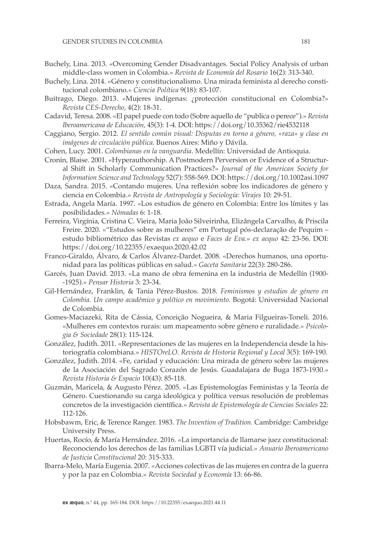- Buchely, Lina. 2013. «Overcoming Gender Disadvantages. Social Policy Analysis of urban middle-class women in Colombia.» *Revista de Economía del Rosario* 16(2): 313-340.
- Buchely, Lina. 2014. «Género y constitucionalismo. Una mirada feminista al derecho constitucional colombiano.» *Ciencia Política* 9(18): 83-107.
- Buitrago, Diego. 2013. «Mujeres indígenas: ¿protección constitucional en Colombia?» *Revista CES-Derecho*, 4(2): 18-31.
- Cadavid, Teresa. 2008. «El papel puede con todo (Sobre aquello de "publica o perece").» *Revista Iberoamericana de Educación,* 45(3): 1-4. DOI: https://doi.org/10.35362/rie4532118
- Caggiano, Sergio. 2012. *El sentido común visual: Disputas en torno a género, «raza» y clase en imágenes de circulación pública.* Buenos Aires: Miño y Dávila.
- Cohen, Lucy. 2001. *Colombianas en la vanguardia*. Medellín: Universidad de Antioquia.
- Cronin, Blaise. 2001. «Hyperauthorship. A Postmodern Perversion or Evidence of a Structural Shift in Scholarly Communication Practices?» *Journal of the American Society for Information Science and Technology* 52(7): 558-569. DOI: https://doi.org/10.1002asi.1097
- Daza, Sandra. 2015. «Contando mujeres. Una reflexión sobre los indicadores de género y ciencia en Colombia.» *Revista de Antropología y Sociología: Virajes* 10: 29-51.
- Estrada, Angela María. 1997. «Los estudios de género en Colombia: Entre los límites y las posibilidades.» *Nómadas* 6: 1-18.
- Ferreira, Virgínia, Cristina C. Vieira, Maria João Silveirinha, Elizângela Carvalho, & Priscila Freire. 2020. «"Estudos sobre as mulheres" em Portugal pós-declaração de Pequim – estudo bibliométrico das Revistas *ex aequo* e *Faces de Eva.*» *ex aequo* 42: 23-56. DOI: https://doi.org/10.22355/exaequo.2020.42.02
- Franco-Giraldo, Álvaro, & Carlos Álvarez-Dardet. 2008. «Derechos humanos, una oportunidad para las políticas públicas en salud.» *Gaceta Sanitaria* 22(3): 280-286.
- Garcés, Juan David. 2013. «La mano de obra femenina en la industria de Medellín (1900- -1925).» *Pensar Historia* 3: 23-34.
- Gil-Hernández, Franklin, & Tania Pérez-Bustos. 2018. *Feminismos y estudios de género en Colombia. Un campo académico y político en movimiento.* Bogotá: Universidad Nacional de Colombia.
- Gomes-Maciazeki, Rita de Cássia, Conceição Nogueira, & Maria Filgueiras-Toneli. 2016. «Mulheres em contextos rurais: um mapeamento sobre gênero e ruralidade.» *Psicologia & Sociedade* 28(1): 115-124.
- González, Judith. 2011. «Representaciones de las mujeres en la Independencia desde la historiografía colombiana.» *HISTOreLO. Revista de Historia Regional y Local* 3(5): 169-190.
- González, Judith. 2014. «Fe, caridad y educación: Una mirada de género sobre las mujeres de la Asociación del Sagrado Corazón de Jesús. Guadalajara de Buga 1873-1930.» *Revista Historia & Espacio* 10(43): 85-118.
- Guzmán, Maricela, & Augusto Pérez. 2005. «Las Epistemologías Feministas y la Teoría de Género. Cuestionando su carga ideológica y política versus resolución de problemas concretos de la investigación científica.» *Revista de Epistemología de Ciencias Sociales* 22: 112-126.
- Hobsbawm, Eric, & Terence Ranger. 1983. *The Invention of Tradition.* Cambridge: Cambridge University Press.
- Huertas, Rocío, & María Hernández. 2016. «La importancia de llamarse juez constitucional: Reconociendo los derechos de las familias LGBTI vía judicial.» *Anuario Iberoamericano de Justicia Constitucional* 20: 315-333.
- Ibarra-Melo, María Eugenia. 2007. «Acciones colectivas de las mujeres en contra de la guerra y por la paz en Colombia.» *Revista Sociedad y Economía* 13: 66-86.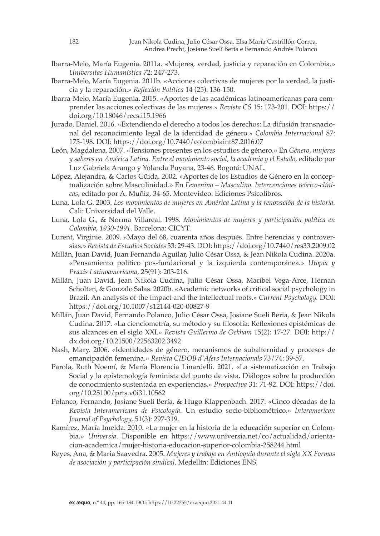- Ibarra-Melo, María Eugenia. 2011a. «Mujeres, verdad, justicia y reparación en Colombia.» *Universitas Humanística* 72: 247-273.
- Ibarra-Melo, María Eugenia. 2011b. «Acciones colectivas de mujeres por la verdad, la justicia y la reparación.» *Reflexión Política* 14 (25): 136-150.
- Ibarra-Melo, María Eugenia. 2015. «Aportes de las académicas latinoamericanas para comprender las acciones colectivas de las mujeres.» *Revista CS* 15: 173-201. DOI: https:// doi.org/10.18046/recs.i15.1966
- Jurado, Daniel. 2016. «Extendiendo el derecho a todos los derechos: La difusión transnacional del reconocimiento legal de la identidad de género.» *Colombia Internacional* 87: 173-198. DOI: https://doi.org/10.7440/colombiaint87.2016.07
- León, Magdalena. 2007. «Tensiones presentes en los estudios de género.» En *Género, mujeres y saberes en América Latina. Entre el movimiento social, la academia y el Estado*, editado por Luz Gabriela Arango y Yolanda Puyana, 23-46. Bogotá: UNAL.
- López, Alejandra, & Carlos Güida. 2002. «Aportes de los Estudios de Género en la conceptualización sobre Masculinidad.» En *Femenino – Masculino. Intervenciones teórico-clínicas*, editado por A. Muñiz, 34-65. Montevideo: Ediciones Psicolibros.
- Luna, Lola G. 2003. *Los movimientos de mujeres en América Latina y la renovación de la historia.* Cali: Universidad del Valle.
- Luna, Lola G., & Norma Villareal. 1998. *Movimientos de mujeres y participación política en Colombia, 1930-1991*. Barcelona: CICYT.
- Lurent, Virginie. 2009. «Mayo del 68, cuarenta años después. Entre herencias y controversias.» *Revista de Estudios Sociales* 33: 29-43. DOI: https://doi.org/10.7440/res33.2009.02
- Millán, Juan David, Juan Fernando Aguilar, Julio César Ossa, & Jean Nikola Cudina. 2020a. «Pensamiento político pos-fundacional y la izquierda contemporánea.» *Utopía y Praxis Latinoamericana,* 25(91): 203-216.
- Millán, Juan David, Jean Nikola Cudina, Julio César Ossa, Maribel Vega-Arce, Hernan Scholten, & Gonzalo Salas. 2020b. «Academic networks of critical social psychology in Brazil. An analysis of the impact and the intellectual roots.» *Current Psychology.* DOI: https://doi.org/10.1007/s12144-020-00827-9
- Millán, Juan David, Fernando Polanco, Julio César Ossa, Josiane Sueli Bería, & Jean Nikola Cudina. 2017. «La cienciometría, su método y su filosofía: Reflexiones epistémicas de sus alcances en el siglo XXI.» *Revista Guillermo de Ockham* 15(2): 17-27. DOI: http:// dx.doi.org/10.21500/22563202.3492
- Nash, Mary. 2006. «Identidades de género, mecanismos de subalternidad y procesos de emancipación femenina.» *Revista CIDOB d'Afers Internacionals* 73/74: 39-57.
- Parola, Ruth Noemí, & María Florencia Linardelli. 2021. «La sistematización en Trabajo Social y la epistemología feminista del punto de vista. Diálogos sobre la producción de conocimiento sustentada en experiencias.» *Prospectiva* 31: 71-92. DOI: https://doi. org/10.25100/prts.v0i31.10562
- Polanco, Fernando, Josiane Sueli Bería, & Hugo Klappenbach. 2017. «Cinco décadas de la *Revista Interamericana de Psicología*. Un estudio socio-bibliométrico.» *Interamerican Journal of Psychology,* 51(3): 297-319.
- Ramírez, María Imelda. 2010. «La mujer en la historia de la educación superior en Colombia.» *Universia*. Disponible en https://www.universia.net/co/actualidad/orientacion-academica/mujer-historia-educacion-superior-colombia-258244.html
- Reyes, Ana, & Maria Saavedra. 2005. *Mujeres y trabajo en Antioquia durante el siglo XX Formas de asociación y participación sindical.* Medellín: Ediciones ENS.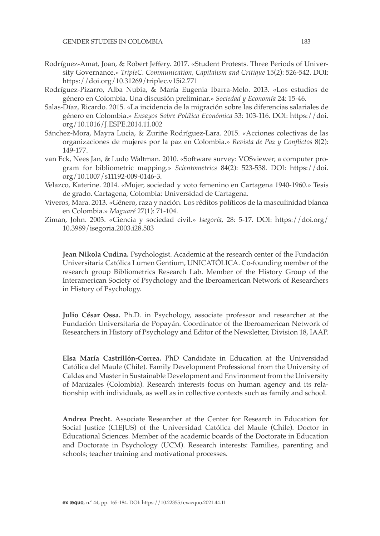- Rodríguez-Amat, Joan, & Robert Jeffery. 2017. «Student Protests. Three Periods of University Governance.» *TripleC. Communication, Capitalism and Critique* 15(2): 526-542. DOI: https://doi.org/10.31269/triplec.v15i2.771
- Rodríguez-Pizarro, Alba Nubia, & María Eugenia Ibarra-Melo. 2013. «Los estudios de género en Colombia. Una discusión preliminar.» *Sociedad y Economía* 24: 15-46.
- Salas-Díaz, Ricardo. 2015. «La incidencia de la migración sobre las diferencias salariales de género en Colombia.» *Ensayos Sobre Política Económica* 33: 103-116. DOI: https://doi. org/10.1016/J.ESPE.2014.11.002
- Sánchez-Mora, Mayra Lucia, & Zuriñe Rodríguez-Lara. 2015. «Acciones colectivas de las organizaciones de mujeres por la paz en Colombia.» *Revista de Paz y Conflictos* 8(2): 149-177.
- van Eck, Nees Jan, & Ludo Waltman. 2010. «Software survey: VOSviewer, a computer program for bibliometric mapping.» *Scientometrics* 84(2): 523-538. DOI: https://doi. org/10.1007/s11192-009-0146-3.
- Velazco, Katerine. 2014. «Mujer, sociedad y voto femenino en Cartagena 1940-1960.» Tesis de grado. Cartagena, Colombia: Universidad de Cartagena.
- Viveros, Mara. 2013. «Género, raza y nación. Los réditos políticos de la masculinidad blanca en Colombia.» *Maguaré* 27(1): 71-104.
- Ziman, John. 2003. «Ciencia y sociedad civil.» *Isegoría*, 28: 5-17. DOI: https://doi.org/ 10.3989/isegoria.2003.i28.503

**Jean Nikola Cudina.** Psychologist. Academic at the research center of the Fundación Universitaria Católica Lumen Gentium, UNICATÓLICA. Co-founding member of the research group Bibliometrics Research Lab. Member of the History Group of the Interamerican Society of Psychology and the Iberoamerican Network of Researchers in History of Psychology.

**Julio César Ossa.** Ph.D. in Psychology, associate professor and researcher at the Fundación Universitaria de Popayán. Coordinator of the Iberoamerican Network of Researchers in History of Psychology and Editor of the Newsletter, Division 18, IAAP.

**Elsa María Castrillón-Correa.** PhD Candidate in Education at the Universidad Católica del Maule (Chile). Family Development Professional from the University of Caldas and Master in Sustainable Development and Environment from the University of Manizales (Colombia). Research interests focus on human agency and its relationship with individuals, as well as in collective contexts such as family and school.

**Andrea Precht.** Associate Researcher at the Center for Research in Education for Social Justice (CIEJUS) of the Universidad Católica del Maule (Chile). Doctor in Educational Sciences. Member of the academic boards of the Doctorate in Education and Doctorate in Psychology (UCM). Research interests: Families, parenting and schools; teacher training and motivational processes.